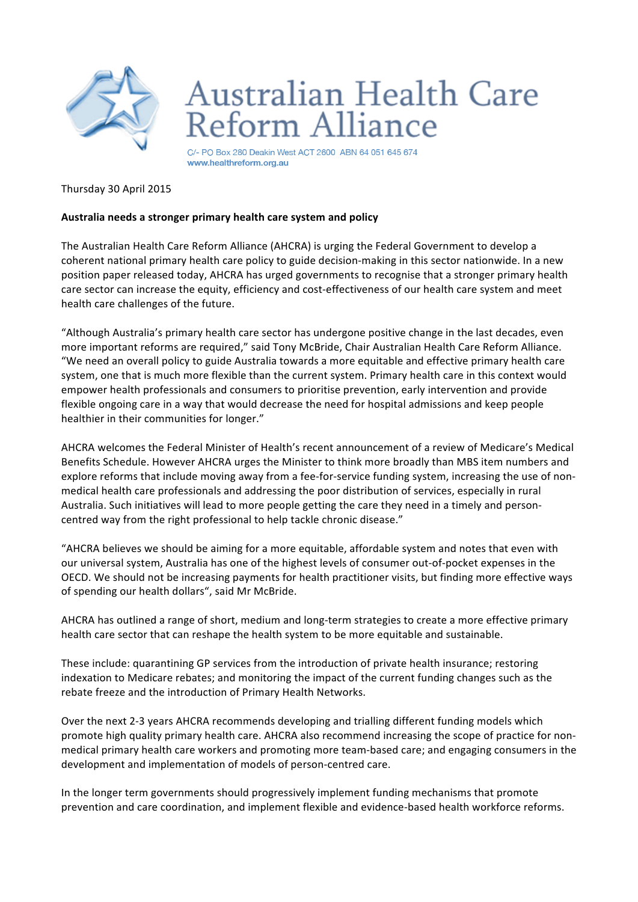

## **Australian Health Care** Reform Alliance

C/- PO Box 280 Deakin West ACT 2600 ABN 64 051 645 674 www.healthreform.org.au

## Thursday 30 April 2015

## Australia needs a stronger primary health care system and policy

The Australian Health Care Reform Alliance (AHCRA) is urging the Federal Government to develop a coherent national primary health care policy to guide decision-making in this sector nationwide. In a new position paper released today, AHCRA has urged governments to recognise that a stronger primary health care sector can increase the equity, efficiency and cost-effectiveness of our health care system and meet health care challenges of the future.

"Although Australia's primary health care sector has undergone positive change in the last decades, even more important reforms are required," said Tony McBride, Chair Australian Health Care Reform Alliance. "We need an overall policy to guide Australia towards a more equitable and effective primary health care system, one that is much more flexible than the current system. Primary health care in this context would empower health professionals and consumers to prioritise prevention, early intervention and provide flexible ongoing care in a way that would decrease the need for hospital admissions and keep people healthier in their communities for longer."

AHCRA welcomes the Federal Minister of Health's recent announcement of a review of Medicare's Medical Benefits Schedule. However AHCRA urges the Minister to think more broadly than MBS item numbers and explore reforms that include moving away from a fee-for-service funding system, increasing the use of nonmedical health care professionals and addressing the poor distribution of services, especially in rural Australia. Such initiatives will lead to more people getting the care they need in a timely and personcentred way from the right professional to help tackle chronic disease."

"AHCRA believes we should be aiming for a more equitable, affordable system and notes that even with our universal system, Australia has one of the highest levels of consumer out-of-pocket expenses in the OECD. We should not be increasing payments for health practitioner visits, but finding more effective ways of spending our health dollars", said Mr McBride.

AHCRA has outlined a range of short, medium and long-term strategies to create a more effective primary health care sector that can reshape the health system to be more equitable and sustainable.

These include: quarantining GP services from the introduction of private health insurance; restoring indexation to Medicare rebates; and monitoring the impact of the current funding changes such as the rebate freeze and the introduction of Primary Health Networks.

Over the next 2-3 years AHCRA recommends developing and trialling different funding models which promote high quality primary health care. AHCRA also recommend increasing the scope of practice for nonmedical primary health care workers and promoting more team-based care; and engaging consumers in the development and implementation of models of person-centred care.

In the longer term governments should progressively implement funding mechanisms that promote prevention and care coordination, and implement flexible and evidence-based health workforce reforms.